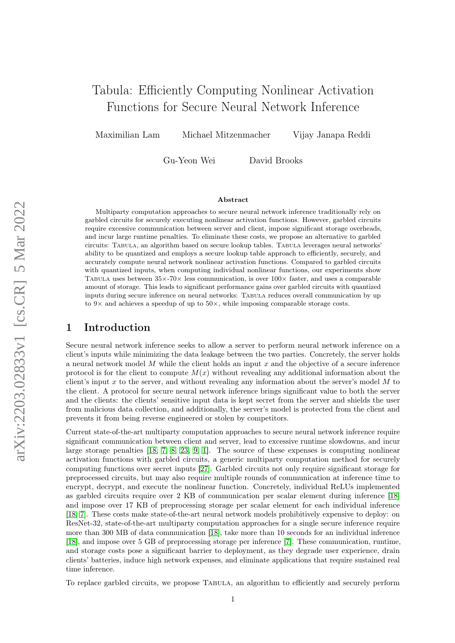# Tabula: Efficiently Computing Nonlinear Activation Functions for Secure Neural Network Inference

Maximilian Lam Michael Mitzenmacher Vijay Janapa Reddi

Gu-Yeon Wei David Brooks

#### Abstract

Multiparty computation approaches to secure neural network inference traditionally rely on garbled circuits for securely executing nonlinear activation functions. However, garbled circuits require excessive communication between server and client, impose significant storage overheads, and incur large runtime penalties. To eliminate these costs, we propose an alternative to garbled circuits: Tabula, an algorithm based on secure lookup tables. Tabula leverages neural networks' ability to be quantized and employs a secure lookup table approach to efficiently, securely, and accurately compute neural network nonlinear activation functions. Compared to garbled circuits with quantized inputs, when computing individual nonlinear functions, our experiments show TABULA uses between  $35\times70\times$  less communication, is over  $100\times$  faster, and uses a comparable amount of storage. This leads to significant performance gains over garbled circuits with quantized inputs during secure inference on neural networks: Tabula reduces overall communication by up to  $9\times$  and achieves a speedup of up to  $50\times$ , while imposing comparable storage costs.

## 1 Introduction

Secure neural network inference seeks to allow a server to perform neural network inference on a client's inputs while minimizing the data leakage between the two parties. Concretely, the server holds a neural network model  $M$  while the client holds an input  $x$  and the objective of a secure inference protocol is for the client to compute  $M(x)$  without revealing any additional information about the client's input x to the server, and without revealing any information about the server's model  $M$  to the client. A protocol for secure neural network inference brings significant value to both the server and the clients: the clients' sensitive input data is kept secret from the server and shields the user from malicious data collection, and additionally, the server's model is protected from the client and prevents it from being reverse engineered or stolen by competitors.

Current state-of-the-art multiparty computation approaches to secure neural network inference require significant communication between client and server, lead to excessive runtime slowdowns, and incur large storage penalties [\[18,](#page-10-0) [7,](#page-10-1) [8,](#page-10-2) [23,](#page-10-3) [9,](#page-10-4) [1\]](#page-9-0). The source of these expenses is computing nonlinear activation functions with garbled circuits, a generic multiparty computation method for securely computing functions over secret inputs [\[27\]](#page-11-0). Garbled circuits not only require significant storage for preprocessed circuits, but may also require multiple rounds of communication at inference time to encrypt, decrypt, and execute the nonlinear function. Concretely, individual ReLUs implemented as garbled circuits require over 2 KB of communication per scalar element during inference [\[18\]](#page-10-0) and impose over 17 KB of preprocessing storage per scalar element for each individual inference [\[18,](#page-10-0) [7\]](#page-10-1). These costs make state-of-the-art neural network models prohibitively expensive to deploy: on ResNet-32, state-of-the-art multiparty computation approaches for a single secure inference require more than 300 MB of data communication [\[18\]](#page-10-0), take more than 10 seconds for an individual inference [\[18\]](#page-10-0), and impose over 5 GB of preprocessing storage per inference [\[7\]](#page-10-1). These communication, runtime, and storage costs pose a significant barrier to deployment, as they degrade user experience, drain clients' batteries, induce high network expenses, and eliminate applications that require sustained real time inference.

To replace garbled circuits, we propose Tabula, an algorithm to efficiently and securely perform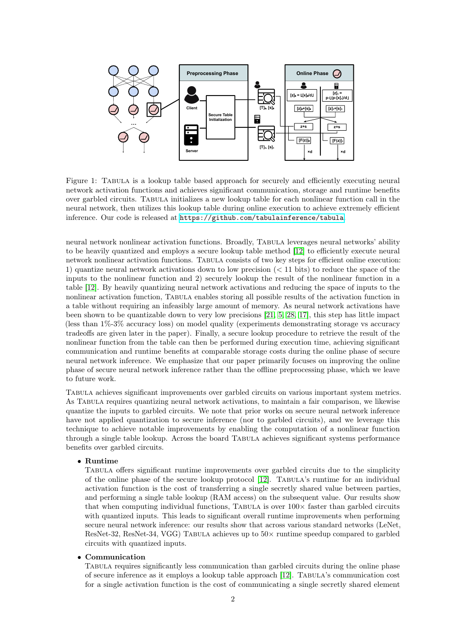

Figure 1: Tabula is a lookup table based approach for securely and efficiently executing neural network activation functions and achieves significant communication, storage and runtime benefits over garbled circuits. Tabula initializes a new lookup table for each nonlinear function call in the neural network, then utilizes this lookup table during online execution to achieve extremely efficient inference. Our code is released at <https://github.com/tabulainference/tabula>.

neural network nonlinear activation functions. Broadly, Tabula leverages neural networks' ability to be heavily quantized and employs a secure lookup table method [\[12\]](#page-10-5) to efficiently execute neural network nonlinear activation functions. Tabula consists of two key steps for efficient online execution: 1) quantize neural network activations down to low precision (< 11 bits) to reduce the space of the inputs to the nonlinear function and 2) securely lookup the result of the nonlinear function in a table [\[12\]](#page-10-5). By heavily quantizing neural network activations and reducing the space of inputs to the nonlinear activation function, Tabula enables storing all possible results of the activation function in a table without requiring an infeasibly large amount of memory. As neural network activations have been shown to be quantizable down to very low precisions [\[21,](#page-10-6) [5,](#page-9-1) [28,](#page-11-1) [17\]](#page-10-7), this step has little impact (less than 1%-3% accuracy loss) on model quality (experiments demonstrating storage vs accuracy tradeoffs are given later in the paper). Finally, a secure lookup procedure to retrieve the result of the nonlinear function from the table can then be performed during execution time, achieving significant communication and runtime benefits at comparable storage costs during the online phase of secure neural network inference. We emphasize that our paper primarily focuses on improving the online phase of secure neural network inference rather than the offline preprocessing phase, which we leave to future work.

Tabula achieves significant improvements over garbled circuits on various important system metrics. As Tabula requires quantizing neural network activations, to maintain a fair comparison, we likewise quantize the inputs to garbled circuits. We note that prior works on secure neural network inference have not applied quantization to secure inference (nor to garbled circuits), and we leverage this technique to achieve notable improvements by enabling the computation of a nonlinear function through a single table lookup. Across the board Tabula achieves significant systems performance benefits over garbled circuits.

#### • Runtime

Tabula offers significant runtime improvements over garbled circuits due to the simplicity of the online phase of the secure lookup protocol [\[12\]](#page-10-5). Tabula's runtime for an individual activation function is the cost of transferring a single secretly shared value between parties, and performing a single table lookup (RAM access) on the subsequent value. Our results show that when computing individual functions, TABULA is over  $100\times$  faster than garbled circuits with quantized inputs. This leads to significant overall runtime improvements when performing secure neural network inference: our results show that across various standard networks (LeNet, ResNet-32, ResNet-34, VGG) TABULA achieves up to  $50\times$  runtime speedup compared to garbled circuits with quantized inputs.

#### • Communication

Tabula requires significantly less communication than garbled circuits during the online phase of secure inference as it employs a lookup table approach [\[12\]](#page-10-5). Tabula's communication cost for a single activation function is the cost of communicating a single secretly shared element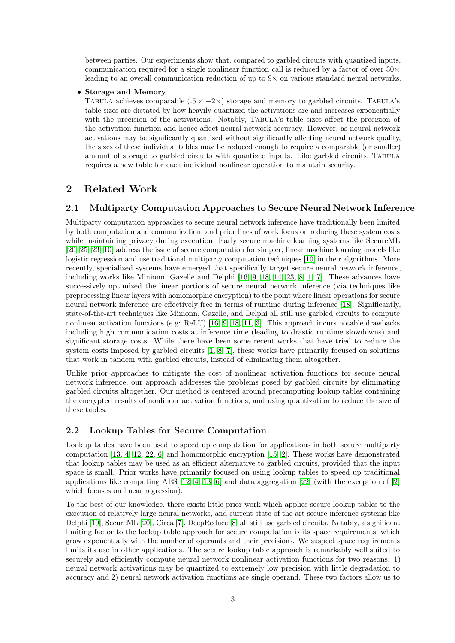between parties. Our experiments show that, compared to garbled circuits with quantized inputs, communication required for a single nonlinear function call is reduced by a factor of over  $30\times$ leading to an overall communication reduction of up to 9× on various standard neural networks.

#### • Storage and Memory

TABULA achieves comparable (.5  $\times$  -2 $\times$ ) storage and memory to garbled circuits. TABULA's table sizes are dictated by how heavily quantized the activations are and increases exponentially with the precision of the activations. Notably, TABULA's table sizes affect the precision of the activation function and hence affect neural network accuracy. However, as neural network activations may be significantly quantized without significantly affecting neural network quality, the sizes of these individual tables may be reduced enough to require a comparable (or smaller) amount of storage to garbled circuits with quantized inputs. Like garbled circuits, Tabula requires a new table for each individual nonlinear operation to maintain security.

## 2 Related Work

### 2.1 Multiparty Computation Approaches to Secure Neural Network Inference

Multiparty computation approaches to secure neural network inference have traditionally been limited by both computation and communication, and prior lines of work focus on reducing these system costs while maintaining privacy during execution. Early secure machine learning systems like SecureML [\[20,](#page-10-8) [25,](#page-10-9) [23,](#page-10-3) [10\]](#page-10-10) address the issue of secure computation for simpler, linear machine learning models like logistic regression and use traditional multiparty computation techniques [\[10\]](#page-10-10) in their algorithms. More recently, specialized systems have emerged that specifically target secure neural network inference, including works like Minionn, Gazelle and Delphi [\[16,](#page-10-11) [9,](#page-10-4) [18,](#page-10-0) [14,](#page-10-12) [23,](#page-10-3) [8,](#page-10-2) [1,](#page-9-0) [7\]](#page-10-1). These advances have successively optimized the linear portions of secure neural network inference (via techniques like preprocessing linear layers with homomorphic encryption) to the point where linear operations for secure neural network inference are effectively free in terms of runtime during inference [\[18\]](#page-10-0). Significantly, state-of-the-art techniques like Minionn, Gazelle, and Delphi all still use garbled circuits to compute nonlinear activation functions (e.g: ReLU) [\[16,](#page-10-11) [9,](#page-10-4) [18,](#page-10-0) [11,](#page-10-13) [3\]](#page-9-2). This approach incurs notable drawbacks including high communication costs at inference time (leading to drastic runtime slowdowns) and significant storage costs. While there have been some recent works that have tried to reduce the system costs imposed by garbled circuits [\[1,](#page-9-0) [8,](#page-10-2) [7\]](#page-10-1), these works have primarily focused on solutions that work in tandem with garbled circuits, instead of eliminating them altogether.

Unlike prior approaches to mitigate the cost of nonlinear activation functions for secure neural network inference, our approach addresses the problems posed by garbled circuits by eliminating garbled circuits altogether. Our method is centered around precomputing lookup tables containing the encrypted results of nonlinear activation functions, and using quantization to reduce the size of these tables.

#### 2.2 Lookup Tables for Secure Computation

Lookup tables have been used to speed up computation for applications in both secure multiparty computation [\[13,](#page-10-14) [4,](#page-9-3) [12,](#page-10-5) [22,](#page-10-15) [6\]](#page-9-4) and homomorphic encryption [\[15,](#page-10-16) [2\]](#page-9-5). These works have demonstrated that lookup tables may be used as an efficient alternative to garbled circuits, provided that the input space is small. Prior works have primarily focused on using lookup tables to speed up traditional applications like computing AES  $[12, 4, 13, 6]$  $[12, 4, 13, 6]$  $[12, 4, 13, 6]$  $[12, 4, 13, 6]$  $[12, 4, 13, 6]$  $[12, 4, 13, 6]$  $[12, 4, 13, 6]$  and data aggregation  $[22]$  (with the exception of  $[2]$ ) which focuses on linear regression).

To the best of our knowledge, there exists little prior work which applies secure lookup tables to the execution of relatively large neural networks, and current state of the art secure inference systems like Delphi [\[19\]](#page-10-17), SecureML [\[20\]](#page-10-8), Circa [\[7\]](#page-10-1), DeepReduce [\[8\]](#page-10-2) all still use garbled circuits. Notably, a significant limiting factor to the lookup table approach for secure computation is its space requirements, which grow exponentially with the number of operands and their precisions. We suspect space requirements limits its use in other applications. The secure lookup table approach is remarkably well suited to securely and efficiently compute neural network nonlinear activation functions for two reasons: 1) neural network activations may be quantized to extremely low precision with little degradation to accuracy and 2) neural network activation functions are single operand. These two factors allow us to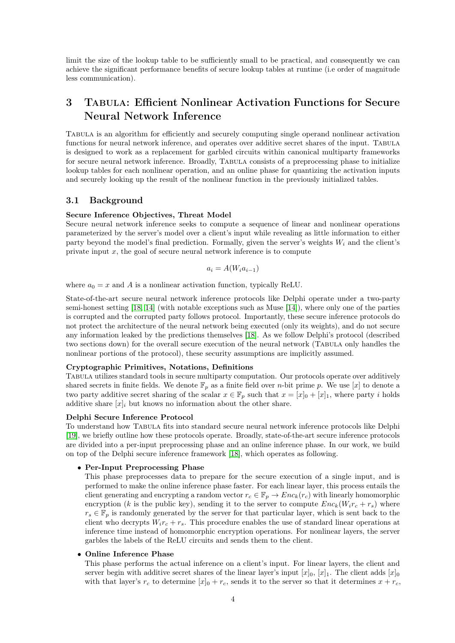limit the size of the lookup table to be sufficiently small to be practical, and consequently we can achieve the significant performance benefits of secure lookup tables at runtime (i.e order of magnitude less communication).

## 3 Tabula: Efficient Nonlinear Activation Functions for Secure Neural Network Inference

Tabula is an algorithm for efficiently and securely computing single operand nonlinear activation functions for neural network inference, and operates over additive secret shares of the input. TABULA is designed to work as a replacement for garbled circuits within canonical multiparty frameworks for secure neural network inference. Broadly, TABULA consists of a preprocessing phase to initialize lookup tables for each nonlinear operation, and an online phase for quantizing the activation inputs and securely looking up the result of the nonlinear function in the previously initialized tables.

#### 3.1 Background

#### Secure Inference Objectives, Threat Model

Secure neural network inference seeks to compute a sequence of linear and nonlinear operations parameterized by the server's model over a client's input while revealing as little information to either party beyond the model's final prediction. Formally, given the server's weights  $W_i$  and the client's private input  $x$ , the goal of secure neural network inference is to compute

$$
a_i = A(W_i a_{i-1})
$$

where  $a_0 = x$  and A is a nonlinear activation function, typically ReLU.

State-of-the-art secure neural network inference protocols like Delphi operate under a two-party semi-honest setting [\[18,](#page-10-0) [14\]](#page-10-12) (with notable exceptions such as Muse [\[14\]](#page-10-12)), where only one of the parties is corrupted and the corrupted party follows protocol. Importantly, these secure inference protocols do not protect the architecture of the neural network being executed (only its weights), and do not secure any information leaked by the predictions themselves [\[18\]](#page-10-0). As we follow Delphi's protocol (described two sections down) for the overall secure execution of the neural network (Tabula only handles the nonlinear portions of the protocol), these security assumptions are implicitly assumed.

#### Cryptographic Primitives, Notations, Definitions

Tabula utilizes standard tools in secure multiparty computation. Our protocols operate over additively shared secrets in finite fields. We denote  $\mathbb{F}_p$  as a finite field over *n*-bit prime p. We use [x] to denote a two party additive secret sharing of the scalar  $x \in \mathbb{F}_p$  such that  $x = [x]_0 + [x]_1$ , where party i holds additive share  $[x]_i$  but knows no information about the other share.

#### Delphi Secure Inference Protocol

To understand how Tabula fits into standard secure neural network inference protocols like Delphi [\[19\]](#page-10-17), we briefly outline how these protocols operate. Broadly, state-of-the-art secure inference protocols are divided into a per-input preprocessing phase and an online inference phase. In our work, we build on top of the Delphi secure inference framework [\[18\]](#page-10-0), which operates as following.

#### • Per-Input Preprocessing Phase

This phase preprocesses data to prepare for the secure execution of a single input, and is performed to make the online inference phase faster. For each linear layer, this process entails the client generating and encrypting a random vector  $r_c \in \mathbb{F}_p \to Enc_k(r_c)$  with linearly homomorphic encryption (k is the public key), sending it to the server to compute  $Enc_k(W_i r_c + r_s)$  where  $r_s \in \mathbb{F}_p$  is randomly generated by the server for that particular layer, which is sent back to the client who decrypts  $W_i r_c + r_s$ . This procedure enables the use of standard linear operations at inference time instead of homomorphic encryption operations. For nonlinear layers, the server garbles the labels of the ReLU circuits and sends them to the client.

#### • Online Inference Phase

This phase performs the actual inference on a client's input. For linear layers, the client and server begin with additive secret shares of the linear layer's input  $[x]_0$ ,  $[x]_1$ . The client adds  $[x]_0$ with that layer's  $r_c$  to determine  $[x]_0 + r_c$ , sends it to the server so that it determines  $x + r_c$ ,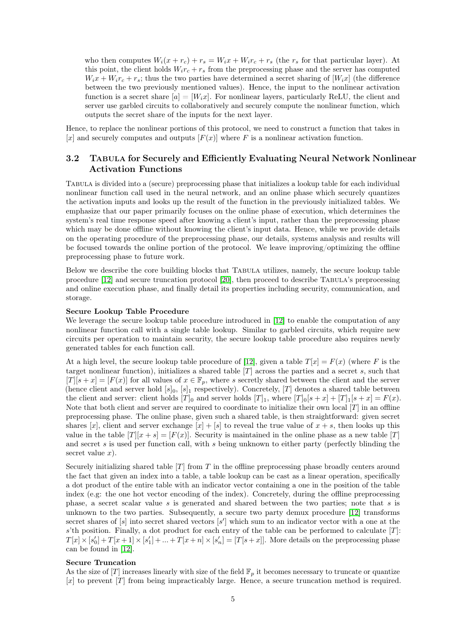who then computes  $W_i(x + r_c) + r_s = W_i x + W_i r_c + r_s$  (the  $r_s$  for that particular layer). At this point, the client holds  $W_i r_c + r_s$  from the preprocessing phase and the server has computed  $W_ix + W_ir_c + r_s$ ; thus the two parties have determined a secret sharing of  $[W_ix]$  (the difference between the two previously mentioned values). Hence, the input to the nonlinear activation function is a secret share  $[a] = [W_i x]$ . For nonlinear layers, particularly ReLU, the client and server use garbled circuits to collaboratively and securely compute the nonlinear function, which outputs the secret share of the inputs for the next layer.

Hence, to replace the nonlinear portions of this protocol, we need to construct a function that takes in [x] and securely computes and outputs  $[F(x)]$  where F is a nonlinear activation function.

### 3.2 TABULA for Securely and Efficiently Evaluating Neural Network Nonlinear Activation Functions

Tabula is divided into a (secure) preprocessing phase that initializes a lookup table for each individual nonlinear function call used in the neural network, and an online phase which securely quantizes the activation inputs and looks up the result of the function in the previously initialized tables. We emphasize that our paper primarily focuses on the online phase of execution, which determines the system's real time response speed after knowing a client's input, rather than the preprocessing phase which may be done offline without knowing the client's input data. Hence, while we provide details on the operating procedure of the preprocessing phase, our details, systems analysis and results will be focused towards the online portion of the protocol. We leave improving/optimizing the offline preprocessing phase to future work.

Below we describe the core building blocks that Tabula utilizes, namely, the secure lookup table procedure [\[12\]](#page-10-5) and secure truncation protocol [\[20\]](#page-10-8), then proceed to describe Tabula's preprocessing and online execution phase, and finally detail its properties including security, communication, and storage.

#### Secure Lookup Table Procedure

We leverage the secure lookup table procedure introduced in [\[12\]](#page-10-5) to enable the computation of any nonlinear function call with a single table lookup. Similar to garbled circuits, which require new circuits per operation to maintain security, the secure lookup table procedure also requires newly generated tables for each function call.

At a high level, the secure lookup table procedure of [\[12\]](#page-10-5), given a table  $T[x] = F(x)$  (where F is the target nonlinear function), initializes a shared table  $[T]$  across the parties and a secret s, such that  $[T][s + x] = [F(x)]$  for all values of  $x \in \mathbb{F}_p$ , where s secretly shared between the client and the server (hence client and server hold  $[s]_0$ ,  $[s]_1$  respectively). Concretely, [T] denotes a shared table between the client and server: client holds  $[T]_0$  and server holds  $[T]_1$ , where  $[T]_0[s + x] + [T]_1[s + x] = F(x)$ . Note that both client and server are required to coordinate to initialize their own local  $[T]$  in an offline preprocessing phase. The online phase, given such a shared table, is then straightforward: given secret shares [x], client and server exchange  $[x] + [s]$  to reveal the true value of  $x + s$ , then looks up this value in the table  $[T][x + s] = [F(x)]$ . Security is maintained in the online phase as a new table [T] and secret s is used per function call, with s being unknown to either party (perfectly blinding the secret value  $x$ ).

Securely initializing shared table  $[T]$  from T in the offline preprocessing phase broadly centers around the fact that given an index into a table, a table lookup can be cast as a linear operation, specifically a dot product of the entire table with an indicator vector containing a one in the position of the table index (e.g: the one hot vector encoding of the index). Concretely, during the offline preprocessing phase, a secret scalar value s is generated and shared between the two parties; note that s is unknown to the two parties. Subsequently, a secure two party demux procedure [\[12\]](#page-10-5) transforms secret shares of  $[s]$  into secret shared vectors  $[s']$  which sum to an indicator vector with a one at the s'th position. Finally, a dot product for each entry of the table can be performed to calculate  $[T]$ :  $T[x] \times [s'_0] + T[x+1] \times [s'_1] + \ldots + T[x+n] \times [s'_n] = [T[s+x]].$  More details on the preprocessing phase can be found in [\[12\]](#page-10-5).

#### Secure Truncation

As the size of  $[T]$  increases linearly with size of the field  $\mathbb{F}_p$  it becomes necessary to truncate or quantize [x] to prevent [T] from being impracticably large. Hence, a secure truncation method is required.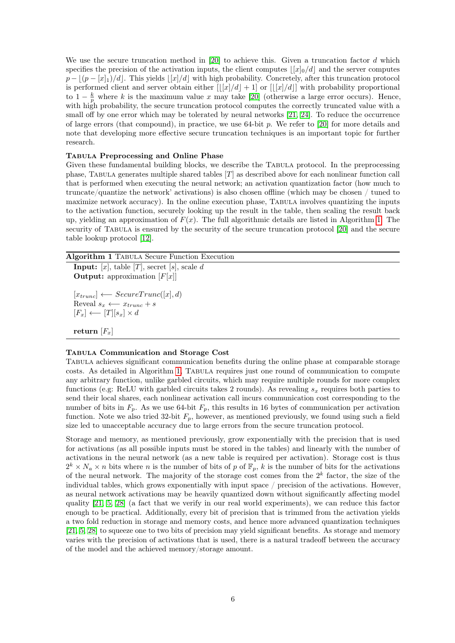We use the secure truncation method in [\[20\]](#page-10-8) to achieve this. Given a truncation factor d which specifies the precision of the activation inputs, the client computes  $\frac{|x|_0}{d}$  and the server computes  $p - \lfloor (p - [x]_1)/d \rfloor$ . This yields  $\lfloor [x]/d \rfloor$  with high probability. Concretely, after this truncation protocol is performed client and server obtain either  $[[x]/d] + 1]$  or  $[[x]/d]]$  with probability proportional to  $1-\frac{k}{p}$  where k is the maximum value x may take [\[20\]](#page-10-8) (otherwise a large error occurs). Hence, with high probability, the secure truncation protocol computes the correctly truncated value with a small off by one error which may be tolerated by neural networks [\[21,](#page-10-6) [24\]](#page-10-18). To reduce the occurrence of large errors (that compound), in practice, we use 64-bit p. We refer to [\[20\]](#page-10-8) for more details and note that developing more effective secure truncation techniques is an important topic for further research.

#### Tabula Preprocessing and Online Phase

Given these fundamental building blocks, we describe the TABULA protocol. In the preprocessing phase, TABULA generates multiple shared tables  $[T]$  as described above for each nonlinear function call that is performed when executing the neural network; an activation quantization factor (how much to truncate/quantize the network' activations) is also chosen offline (which may be chosen / tuned to maximize network accuracy). In the online execution phase, TABULA involves quantizing the inputs to the activation function, securely looking up the result in the table, then scaling the result back up, yielding an approximation of  $F(x)$ . The full algorithmic details are listed in Algorithm [1.](#page-5-0) The security of Tabula is ensured by the security of the secure truncation protocol [\[20\]](#page-10-8) and the secure table lookup protocol [\[12\]](#page-10-5).

#### <span id="page-5-0"></span>Algorithm 1 Tabula Secure Function Execution

**Input:** [x], table [T], secret [s], scale d **Output:** approximation  $[F[x]]$ 

 $[x_{trunc}] \leftarrow SecureTrunc([x], d)$ Reveal  $s_x \longleftarrow x_{trunc} + s$  $[F_x] \longleftarrow [T][s_x] \times d$ 

## return  $[F_x]$

#### Tabula Communication and Storage Cost

Tabula achieves significant communication benefits during the online phase at comparable storage costs. As detailed in Algorithm [1,](#page-5-0) Tabula requires just one round of communication to compute any arbitrary function, unlike garbled circuits, which may require multiple rounds for more complex functions (e.g: ReLU with garbled circuits takes 2 rounds). As revealing  $s_x$  requires both parties to send their local shares, each nonlinear activation call incurs communication cost corresponding to the number of bits in  $F_p$ . As we use 64-bit  $F_p$ , this results in 16 bytes of communication per activation function. Note we also tried 32-bit  $F_p$ , however, as mentioned previously, we found using such a field size led to unacceptable accuracy due to large errors from the secure truncation protocol.

Storage and memory, as mentioned previously, grow exponentially with the precision that is used for activations (as all possible inputs must be stored in the tables) and linearly with the number of activations in the neural network (as a new table is required per activation). Storage cost is thus  $2^k \times N_a \times n$  bits where n is the number of bits of p of  $\mathbb{F}_p$ , k is the number of bits for the activations of the neural network. The majority of the storage cost comes from the  $2<sup>k</sup>$  factor, the size of the individual tables, which grows exponentially with input space / precision of the activations. However, as neural network activations may be heavily quantized down without significantly affecting model quality [\[21,](#page-10-6) [5,](#page-9-1) [28\]](#page-11-1) (a fact that we verify in our real world experiments), we can reduce this factor enough to be practical. Additionally, every bit of precision that is trimmed from the activation yields a two fold reduction in storage and memory costs, and hence more advanced quantization techniques [\[21,](#page-10-6) [5,](#page-9-1) [28\]](#page-11-1) to squeeze one to two bits of precision may yield significant benefits. As storage and memory varies with the precision of activations that is used, there is a natural tradeoff between the accuracy of the model and the achieved memory/storage amount.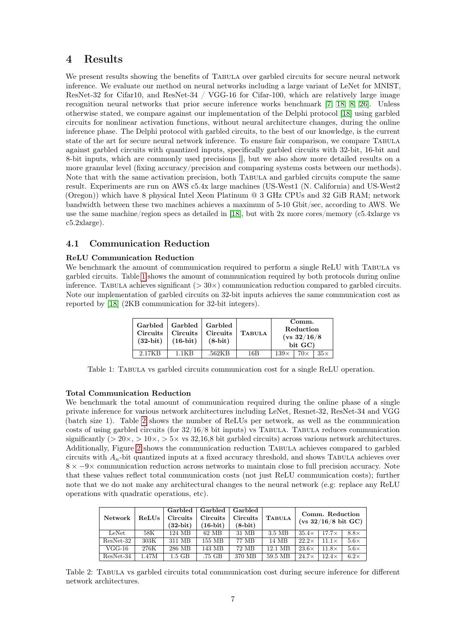## 4 Results

We present results showing the benefits of TABULA over garbled circuits for secure neural network inference. We evaluate our method on neural networks including a large variant of LeNet for MNIST, ResNet-32 for Cifar10, and ResNet-34 / VGG-16 for Cifar-100, which are relatively large image recognition neural networks that prior secure inference works benchmark [\[7,](#page-10-1) [18,](#page-10-0) [8,](#page-10-2) [26\]](#page-11-2). Unless otherwise stated, we compare against our implementation of the Delphi protocol [\[18\]](#page-10-0) using garbled circuits for nonlinear activation functions, without neural architecture changes, during the online inference phase. The Delphi protocol with garbled circuits, to the best of our knowledge, is the current state of the art for secure neural network inference. To ensure fair comparison, we compare Tabula against garbled circuits with quantized inputs, specifically garbled circuits with 32-bit, 16-bit and 8-bit inputs, which are commonly used precisions [], but we also show more detailed results on a more granular level (fixing accuracy/precision and comparing systems costs between our methods). Note that with the same activation precision, both Tabula and garbled circuits compute the same result. Experiments are run on AWS c5.4x large machines (US-West1 (N. California) and US-West2 (Oregon)) which have 8 physical Intel Xeon Platinum @ 3 GHz CPUs and 32 GiB RAM; network bandwidth between these two machines achieves a maximum of 5-10 Gbit/sec, according to AWS. We use the same machine/region specs as detailed in [\[18\]](#page-10-0), but with 2x more cores/memory (c5.4xlarge vs c5.2xlarge).

## 4.1 Communication Reduction

#### ReLU Communication Reduction

We benchmark the amount of communication required to perform a single ReLU with TABULA vs garbled circuits. Table [1](#page-6-0) shows the amount of communication required by both protocols during online inference. Tabula achieves significant ( $> 30 \times$ ) communication reduction compared to garbled circuits. Note our implementation of garbled circuits on 32-bit inputs achieves the same communication cost as reported by [\[18\]](#page-10-0) (2KB communication for 32-bit integers).

| <b>Circuits</b><br>$(32-bit)$ | Garbled   Garbled   Garbled<br><b>Circuits</b><br>$(16-bit)$ | <b>Circuits</b><br>$(8-bit)$ | <b>TABULA</b> |             | Comm.<br>Reduction<br>$(vs\;32/16/8)$<br>bit GC) |            |
|-------------------------------|--------------------------------------------------------------|------------------------------|---------------|-------------|--------------------------------------------------|------------|
| 2.17KB                        | 1 1KR                                                        | .562KB                       | 16B           | $139\times$ | $70\times$                                       | $35\times$ |

<span id="page-6-0"></span>Table 1: Tabula vs garbled circuits communication cost for a single ReLU operation.

#### Total Communication Reduction

We benchmark the total amount of communication required during the online phase of a single private inference for various network architectures including LeNet, Resnet-32, ResNet-34 and VGG (batch size 1). Table [2](#page-6-1) shows the number of ReLUs per network, as well as the communication costs of using garbled circuits (for  $32/16/8$  bit inputs) vs TABULA. TABULA reduces communication significantly ( $> 20 \times, > 10 \times, > 5 \times$  vs 32,16,8 bit garbled circuits) across various network architectures. Additionally, Figure [2](#page-7-0) shows the communication reduction Tabula achieves compared to garbled circuits with  $A_n$ -bit quantized inputs at a fixed accuracy threshold, and shows TABULA achieves over  $8 \times -9 \times$  communication reduction across networks to maintain close to full precision accuracy. Note that these values reflect total communication costs (not just ReLU communication costs); further note that we do not make any architectural changes to the neural network (e.g: replace any ReLU operations with quadratic operations, etc).

| <b>Network</b> | ReLUs | Garbled<br>Circuits<br>$(32-bit)$ | Garbled<br><b>Circuits</b><br>$(16-bit)$ | Garbled<br>Circuits<br>$(8-bit)$ | <b>TABULA</b> | Comm. Reduction<br>$(vs 32/16/8 \text{ bit } GC)$ |              |             |
|----------------|-------|-----------------------------------|------------------------------------------|----------------------------------|---------------|---------------------------------------------------|--------------|-------------|
| LeNet          | 58K . | 124 MB                            | 62 MB                                    | 31 MB                            | 3.5 MB        | $35.4\times$                                      | $17.7\times$ | $8.8\times$ |
| ResNet-32      | 303K  | 311 MB                            | 155 MB                                   | 77 MB                            | 14 MB         | $22.2\times$                                      | $11.1\times$ | $5.6\times$ |
| $VGG-16$       | 276K  | 286 MB                            | 143 MB                                   | 72 MB                            | 12.1 MB       | $23.6\times$                                      | $11.8\times$ | $5.6\times$ |
| ResNet-34      | 1.47M | $1.5$ GB                          | .75 GB                                   | 370 MB                           | 59.5 MB       | $24.7\times$                                      | $12.4\times$ | $6.2\times$ |

<span id="page-6-1"></span>Table 2: Tabula vs garbled circuits total communication cost during secure inference for different network architectures.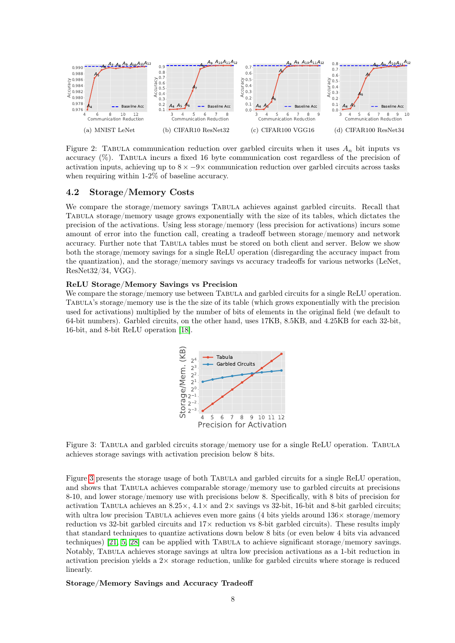

<span id="page-7-0"></span>Figure 2: TABULA communication reduction over garbled circuits when it uses  $A_n$  bit inputs vs accuracy (%). Tabula incurs a fixed 16 byte communication cost regardless of the precision of activation inputs, achieving up to  $8 \times -9 \times$  communication reduction over garbled circuits across tasks when requiring within 1-2% of baseline accuracy.

#### 4.2 Storage/Memory Costs

We compare the storage/memory savings TABULA achieves against garbled circuits. Recall that Tabula storage/memory usage grows exponentially with the size of its tables, which dictates the precision of the activations. Using less storage/memory (less precision for activations) incurs some amount of error into the function call, creating a tradeoff between storage/memory and network accuracy. Further note that Tabula tables must be stored on both client and server. Below we show both the storage/memory savings for a single ReLU operation (disregarding the accuracy impact from the quantization), and the storage/memory savings vs accuracy tradeoffs for various networks (LeNet, ResNet32/34, VGG).

#### ReLU Storage/Memory Savings vs Precision

We compare the storage/memory use between TABULA and garbled circuits for a single ReLU operation. Tabula's storage/memory use is the the size of its table (which grows exponentially with the precision used for activations) multiplied by the number of bits of elements in the original field (we default to 64-bit numbers). Garbled circuits, on the other hand, uses 17KB, 8.5KB, and 4.25KB for each 32-bit, 16-bit, and 8-bit ReLU operation [\[18\]](#page-10-0).



<span id="page-7-1"></span>Figure 3: TABULA and garbled circuits storage/memory use for a single ReLU operation. TABULA achieves storage savings with activation precision below 8 bits.

Figure [3](#page-7-1) presents the storage usage of both Tabula and garbled circuits for a single ReLU operation, and shows that Tabula achieves comparable storage/memory use to garbled circuits at precisions 8-10, and lower storage/memory use with precisions below 8. Specifically, with 8 bits of precision for activation TABULA achieves an  $8.25 \times$ ,  $4.1 \times$  and  $2 \times$  savings vs 32-bit, 16-bit and 8-bit garbled circuits; with ultra low precision TABULA achieves even more gains (4 bits yields around  $136\times$  storage/memory reduction vs 32-bit garbled circuits and 17× reduction vs 8-bit garbled circuits). These results imply that standard techniques to quantize activations down below 8 bits (or even below 4 bits via advanced techniques) [\[21,](#page-10-6) [5,](#page-9-1) [28\]](#page-11-1) can be applied with Tabula to achieve significant storage/memory savings. Notably, Tabula achieves storage savings at ultra low precision activations as a 1-bit reduction in activation precision yields a  $2\times$  storage reduction, unlike for garbled circuits where storage is reduced linearly.

#### Storage/Memory Savings and Accuracy Tradeoff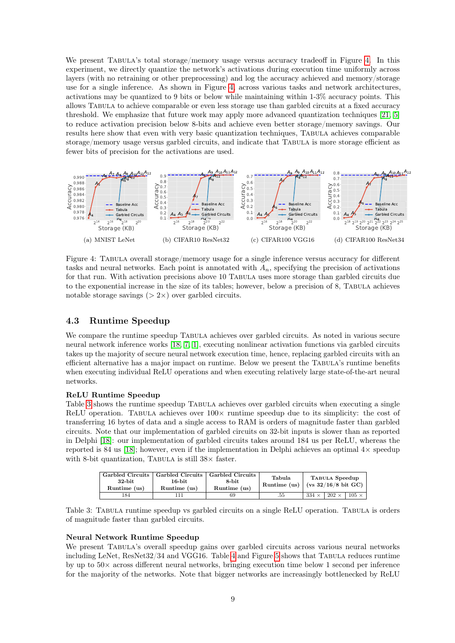We present TABULA's total storage/memory usage versus accuracy tradeoff in Figure [4.](#page-8-0) In this experiment, we directly quantize the network's activations during execution time uniformly across layers (with no retraining or other preprocessing) and log the accuracy achieved and memory/storage use for a single inference. As shown in Figure [4,](#page-8-0) across various tasks and network architectures, activations may be quantized to 9 bits or below while maintaining within 1-3% accuracy points. This allows Tabula to achieve comparable or even less storage use than garbled circuits at a fixed accuracy threshold. We emphasize that future work may apply more advanced quantization techniques [\[21,](#page-10-6) [5\]](#page-9-1) to reduce activation precision below 8-bits and achieve even better storage/memory savings. Our results here show that even with very basic quantization techniques, Tabula achieves comparable storage/memory usage versus garbled circuits, and indicate that Tabula is more storage efficient as fewer bits of precision for the activations are used.



<span id="page-8-0"></span>Figure 4: Tabula overall storage/memory usage for a single inference versus accuracy for different tasks and neural networks. Each point is annotated with  $A_n$ , specifying the precision of activations for that run. With activation precisions above 10 Tabula uses more storage than garbled circuits due to the exponential increase in the size of its tables; however, below a precision of 8, Tabula achieves notable storage savings  $(> 2 \times)$  over garbled circuits.

#### 4.3 Runtime Speedup

We compare the runtime speedup TABULA achieves over garbled circuits. As noted in various secure neural network inference works [\[18,](#page-10-0) [7,](#page-10-1) [1\]](#page-9-0), executing nonlinear activation functions via garbled circuits takes up the majority of secure neural network execution time, hence, replacing garbled circuits with an efficient alternative has a major impact on runtime. Below we present the TABULA's runtime benefits when executing individual ReLU operations and when executing relatively large state-of-the-art neural networks.

#### ReLU Runtime Speedup

Table [3](#page-8-1) shows the runtime speedup Tabula achieves over garbled circuits when executing a single ReLU operation. TABULA achieves over  $100\times$  runtime speedup due to its simplicity: the cost of transferring 16 bytes of data and a single access to RAM is orders of magnitude faster than garbled circuits. Note that our implementation of garbled circuits on 32-bit inputs is slower than as reported in Delphi [\[18\]](#page-10-0): our implementation of garbled circuits takes around 184 us per ReLU, whereas the reported is 84 us [\[18\]](#page-10-0); however, even if the implementation in Delphi achieves an optimal  $4\times$  speedup with 8-bit quantization, TABULA is still  $38\times$  faster.

| $32$ -bit<br>Runtime (us) | Garbled Circuits   Garbled Circuits   Garbled Circuits<br>16-bit<br>Runtime (us) | 8-bit<br>Runtime (us) | Tabula<br>Runtime (us) |              | TABULA Speedup<br>$($ (vs 32/16/8 bit GC) |              |
|---------------------------|----------------------------------------------------------------------------------|-----------------------|------------------------|--------------|-------------------------------------------|--------------|
| 184                       |                                                                                  | 69                    | .55                    | $334 \times$ | $202 \times$                              | $105 \times$ |

<span id="page-8-1"></span>Table 3: Tabula runtime speedup vs garbled circuits on a single ReLU operation. Tabula is orders of magnitude faster than garbled circuits.

#### Neural Network Runtime Speedup

We present TABULA's overall speedup gains over garbled circuits across various neural networks including LeNet,  $ResNet32/34$  and VGG16. Table [4](#page-9-6) and Figure [5](#page-9-7) shows that TABULA reduces runtime by up to  $50\times$  across different neural networks, bringing execution time below 1 second per inference for the majority of the networks. Note that bigger networks are increasingly bottlenecked by ReLU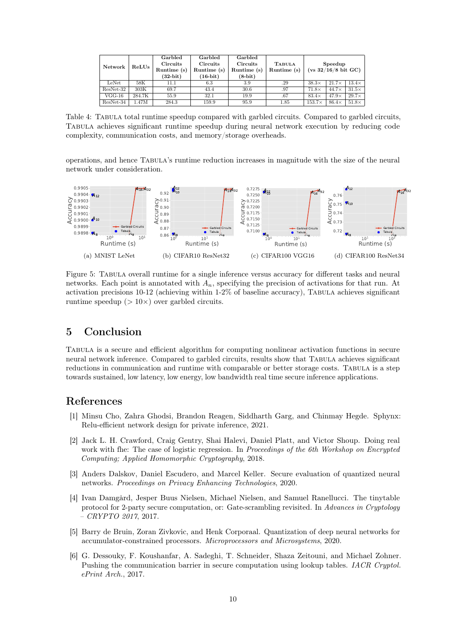|                        |        | Garbled     | Garbled     | Garbled     |               |                                |              |              |
|------------------------|--------|-------------|-------------|-------------|---------------|--------------------------------|--------------|--------------|
| Network                |        | Circuits    | Circuits    | Circuits    | <b>TABULA</b> | Speedup                        |              |              |
| $\operatorname{ReLUs}$ |        | Runtime (s) | Runtime (s) | Runtime (s) | Runtime (s)   | $(vs 32/16/8 \text{ bit } GC)$ |              |              |
|                        |        | $(32-bit)$  | $(16-bit)$  | $(8-bit)$   |               |                                |              |              |
| LeNet                  | 58K    | 11.1        | 6.3         | 3.9         | .29           | $38.3\times$                   | $21.7\times$ | $13.4\times$ |
| ResNet-32              | 303K   | 69.7        | 43.4        | 30.6        | .97           | $71.8\times$                   | $44.7\times$ | $31.5\times$ |
| $VGG-16$               | 284.7K | 55.9        | 32.1        | 19.9        | .67           | $83.4\times$                   | $47.9\times$ | $29.7\times$ |
| ResNet-34              | 1.47M  | 284.3       | 159.9       | 95.9        | 1.85          | $153.7\times$                  | $86.4\times$ | $51.8\times$ |

<span id="page-9-6"></span>Table 4: TABULA total runtime speedup compared with garbled circuits. Compared to garbled circuits, Tabula achieves significant runtime speedup during neural network execution by reducing code complexity, communication costs, and memory/storage overheads.

operations, and hence Tabula's runtime reduction increases in magnitude with the size of the neural network under consideration.



<span id="page-9-7"></span>Figure 5: Tabula overall runtime for a single inference versus accuracy for different tasks and neural networks. Each point is annotated with  $A_n$ , specifying the precision of activations for that run. At activation precisions 10-12 (achieving within 1-2% of baseline accuracy), Tabula achieves significant runtime speedup  $(>10\times)$  over garbled circuits.

## 5 Conclusion

Tabula is a secure and efficient algorithm for computing nonlinear activation functions in secure neural network inference. Compared to garbled circuits, results show that Tabula achieves significant reductions in communication and runtime with comparable or better storage costs. TABULA is a step towards sustained, low latency, low energy, low bandwidth real time secure inference applications.

## References

- <span id="page-9-0"></span>[1] Minsu Cho, Zahra Ghodsi, Brandon Reagen, Siddharth Garg, and Chinmay Hegde. Sphynx: Relu-efficient network design for private inference, 2021.
- <span id="page-9-5"></span>[2] Jack L. H. Crawford, Craig Gentry, Shai Halevi, Daniel Platt, and Victor Shoup. Doing real work with fhe: The case of logistic regression. In *Proceedings of the 6th Workshop on Encrypted* Computing; Applied Homomorphic Cryptography, 2018.
- <span id="page-9-2"></span>[3] Anders Dalskov, Daniel Escudero, and Marcel Keller. Secure evaluation of quantized neural networks. Proceedings on Privacy Enhancing Technologies, 2020.
- <span id="page-9-3"></span>[4] Ivan Damgård, Jesper Buus Nielsen, Michael Nielsen, and Samuel Ranellucci. The tinytable protocol for 2-party secure computation, or: Gate-scrambling revisited. In Advances in Cryptology – CRYPTO 2017, 2017.
- <span id="page-9-1"></span>[5] Barry de Bruin, Zoran Zivkovic, and Henk Corporaal. Quantization of deep neural networks for accumulator-constrained processors. Microprocessors and Microsystems, 2020.
- <span id="page-9-4"></span>[6] G. Dessouky, F. Koushanfar, A. Sadeghi, T. Schneider, Shaza Zeitouni, and Michael Zohner. Pushing the communication barrier in secure computation using lookup tables. IACR Cryptol. ePrint Arch., 2017.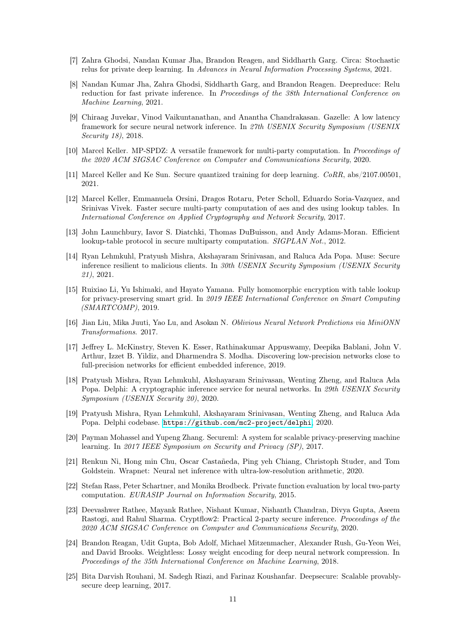- <span id="page-10-1"></span>[7] Zahra Ghodsi, Nandan Kumar Jha, Brandon Reagen, and Siddharth Garg. Circa: Stochastic relus for private deep learning. In Advances in Neural Information Processing Systems, 2021.
- <span id="page-10-2"></span>[8] Nandan Kumar Jha, Zahra Ghodsi, Siddharth Garg, and Brandon Reagen. Deepreduce: Relu reduction for fast private inference. In Proceedings of the 38th International Conference on Machine Learning, 2021.
- <span id="page-10-4"></span>[9] Chiraag Juvekar, Vinod Vaikuntanathan, and Anantha Chandrakasan. Gazelle: A low latency framework for secure neural network inference. In 27th USENIX Security Symposium (USENIX Security 18), 2018.
- <span id="page-10-10"></span>[10] Marcel Keller. MP-SPDZ: A versatile framework for multi-party computation. In Proceedings of the 2020 ACM SIGSAC Conference on Computer and Communications Security, 2020.
- <span id="page-10-13"></span>[11] Marcel Keller and Ke Sun. Secure quantized training for deep learning. CoRR, abs/2107.00501, 2021.
- <span id="page-10-5"></span>[12] Marcel Keller, Emmanuela Orsini, Dragos Rotaru, Peter Scholl, Eduardo Soria-Vazquez, and Srinivas Vivek. Faster secure multi-party computation of aes and des using lookup tables. In International Conference on Applied Cryptography and Network Security, 2017.
- <span id="page-10-14"></span>[13] John Launchbury, Iavor S. Diatchki, Thomas DuBuisson, and Andy Adams-Moran. Efficient lookup-table protocol in secure multiparty computation. *SIGPLAN Not.*, 2012.
- <span id="page-10-12"></span>[14] Ryan Lehmkuhl, Pratyush Mishra, Akshayaram Srinivasan, and Raluca Ada Popa. Muse: Secure inference resilient to malicious clients. In 30th USENIX Security Symposium (USENIX Security 21), 2021.
- <span id="page-10-16"></span>[15] Ruixiao Li, Yu Ishimaki, and Hayato Yamana. Fully homomorphic encryption with table lookup for privacy-preserving smart grid. In 2019 IEEE International Conference on Smart Computing  $(SMARKTCOMP)$ , 2019.
- <span id="page-10-11"></span>[16] Jian Liu, Mika Juuti, Yao Lu, and Asokan N. Oblivious Neural Network Predictions via MiniONN Transformations. 2017.
- <span id="page-10-7"></span>[17] Jeffrey L. McKinstry, Steven K. Esser, Rathinakumar Appuswamy, Deepika Bablani, John V. Arthur, Izzet B. Yildiz, and Dharmendra S. Modha. Discovering low-precision networks close to full-precision networks for efficient embedded inference, 2019.
- <span id="page-10-0"></span>[18] Pratyush Mishra, Ryan Lehmkuhl, Akshayaram Srinivasan, Wenting Zheng, and Raluca Ada Popa. Delphi: A cryptographic inference service for neural networks. In 29th USENIX Security Symposium (USENIX Security 20), 2020.
- <span id="page-10-17"></span>[19] Pratyush Mishra, Ryan Lehmkuhl, Akshayaram Srinivasan, Wenting Zheng, and Raluca Ada Popa. Delphi codebase. <https://github.com/mc2-project/delphi>, 2020.
- <span id="page-10-8"></span>[20] Payman Mohassel and Yupeng Zhang. Secureml: A system for scalable privacy-preserving machine learning. In 2017 IEEE Symposium on Security and Privacy (SP), 2017.
- <span id="page-10-6"></span>[21] Renkun Ni, Hong min Chu, Oscar Castañeda, Ping yeh Chiang, Christoph Studer, and Tom Goldstein. Wrapnet: Neural net inference with ultra-low-resolution arithmetic, 2020.
- <span id="page-10-15"></span>[22] Stefan Rass, Peter Schartner, and Monika Brodbeck. Private function evaluation by local two-party computation. EURASIP Journal on Information Security, 2015.
- <span id="page-10-3"></span>[23] Deevashwer Rathee, Mayank Rathee, Nishant Kumar, Nishanth Chandran, Divya Gupta, Aseem Rastogi, and Rahul Sharma. Cryptflow2: Practical 2-party secure inference. Proceedings of the 2020 ACM SIGSAC Conference on Computer and Communications Security, 2020.
- <span id="page-10-18"></span>[24] Brandon Reagan, Udit Gupta, Bob Adolf, Michael Mitzenmacher, Alexander Rush, Gu-Yeon Wei, and David Brooks. Weightless: Lossy weight encoding for deep neural network compression. In Proceedings of the 35th International Conference on Machine Learning, 2018.
- <span id="page-10-9"></span>[25] Bita Darvish Rouhani, M. Sadegh Riazi, and Farinaz Koushanfar. Deepsecure: Scalable provablysecure deep learning, 2017.